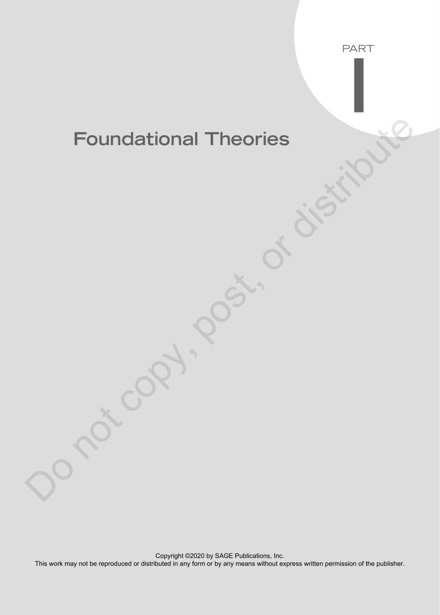# **Foundational Theories** Foundational Theories<br>
Copy, post, or distribute

PART

I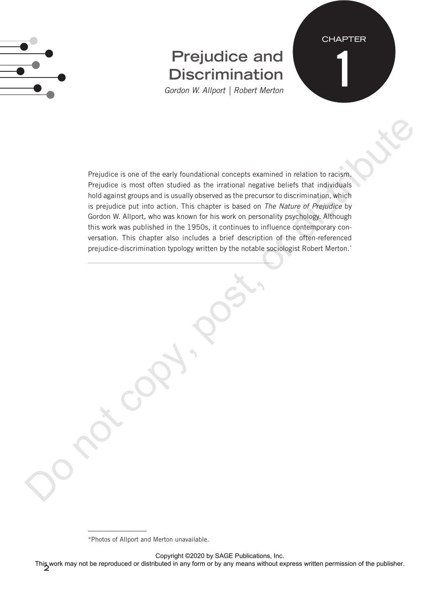

# **Prejudice and Discrimination**

**CHAPTER** 

1

*Gordon W. Allport | Robert Merton*

Prejudice is one of the early foundational concepts examined in relation to racism. Prejudice is most often studied as the irrational negative beliefs that individuals hold against groups and is usually observed as the precursor to discrimination, which is prejudice put into action. This chapter is based on *The Nature of Prejudice* by Gordon W. Allport, who was known for his work on personality psychology. Although this work was published in the 1950s, it continues to influence contemporary conversation. This chapter also includes a brief description of the often-referenced prejudice-discrimination typology written by the notable sociologist Robert Merton.<sup>\*</sup> Prejudice is one of the early foundational concepts examined in relation to racian,<br>Prejudice is most offer studied as the interior in registration is in relation to receive the state in the state of the distribution is pr

Copyright ©2020 by SAGE Publications, Inc.

**2** This work may not be reproduced or distributed in any form or by any means without express written permission of the publisher.

<sup>\*</sup>Photos of Allport and Merton unavailable.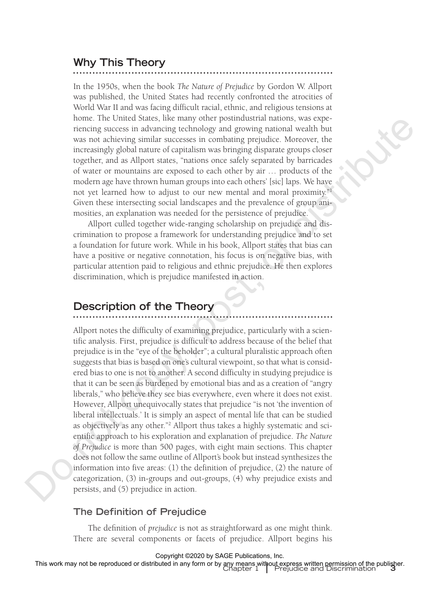# **Why This Theory**

In the 1950s, when the book *The Nature of Prejudice* by Gordon W. Allport was published, the United States had recently confronted the atrocities of World War II and was facing difficult racial, ethnic, and religious tensions at home. The United States, like many other postindustrial nations, was experiencing success in advancing technology and growing national wealth but was not achieving similar successes in combating prejudice. Moreover, the increasingly global nature of capitalism was bringing disparate groups closer together, and as Allport states, "nations once safely separated by barricades of water or mountains are exposed to each other by air … products of the modern age have thrown human groups into each others' [sic] laps. We have not yet learned how to adjust to our new mental and moral proximity."1 Given these intersecting social landscapes and the prevalence of group animosities, an explanation was needed for the persistence of prejudice.

Allport culled together wide-ranging scholarship on prejudice and discrimination to propose a framework for understanding prejudice and to set a foundation for future work. While in his book, Allport states that bias can have a positive or negative connotation, his focus is on negative bias, with particular attention paid to religious and ethnic prejudice. He then explores discrimination, which is prejudice manifested in action.

# **Description of the Theory**

Allport notes the difficulty of examining prejudice, particularly with a scientific analysis. First, prejudice is difficult to address because of the belief that prejudice is in the "eye of the beholder"; a cultural pluralistic approach often suggests that bias is based on one's cultural viewpoint, so that what is considered bias to one is not to another. A second difficulty in studying prejudice is that it can be seen as burdened by emotional bias and as a creation of "angry liberals," who believe they see bias everywhere, even where it does not exist. However, Allport unequivocally states that prejudice "is not 'the invention of liberal intellectuals.' It is simply an aspect of mental life that can be studied as objectively as any other."2 Allport thus takes a highly systematic and scientific approach to his exploration and explanation of prejudice. *The Nature of Prejudice* is more than 500 pages, with eight main sections. This chapter does not follow the same outline of Allport's book but instead synthesizes the information into five areas: (1) the definition of prejudice, (2) the nature of categorization, (3) in-groups and out-groups, (4) why prejudice exists and persists, and (5) prejudice in action. none. The United States, the main of the positivation and nature, we see the state and the control of the measurement in the measurement in the measurement in the measurement of the measurement of the measurement of the me

#### **The Definition of Prejudice**

The definition of *prejudice* is not as straightforward as one might think. There are several components or facets of prejudice. Allport begins his

Copyright ©2020 by SAGE Publications, Inc.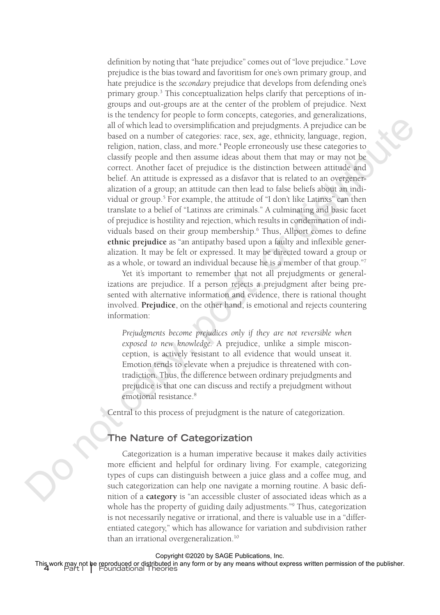definition by noting that "hate prejudice" comes out of "love prejudice." Love prejudice is the bias toward and favoritism for one's own primary group, and hate prejudice is the *secondary* prejudice that develops from defending one's primary group.<sup>3</sup> This conceptualization helps clarify that perceptions of ingroups and out-groups are at the center of the problem of prejudice. Next is the tendency for people to form concepts, categories, and generalizations, all of which lead to oversimplification and prejudgments. A prejudice can be based on a number of categories: race, sex, age, ethnicity, language, region, religion, nation, class, and more.<sup>4</sup> People erroneously use these categories to classify people and then assume ideas about them that may or may not be correct. Another facet of prejudice is the distinction between attitude and belief. An attitude is expressed as a disfavor that is related to an overgeneralization of a group; an attitude can then lead to false beliefs about an individual or group.<sup>5</sup> For example, the attitude of "I don't like Latinxs" can then translate to a belief of "Latinxs are criminals." A culminating and basic facet of prejudice is hostility and rejection, which results in condemnation of individuals based on their group membership.<sup>6</sup> Thus, Allport comes to define **ethnic prejudice** as "an antipathy based upon a faulty and inflexible generalization. It may be felt or expressed. It may be directed toward a group or as a whole, or toward an individual because he is a member of that group."7 and collection of the proposition of propositions and propositions. A proposition and proposition and propositions and propositions and proposition and proposition and proposition and proposition and proposition and propo

Yet it's important to remember that not all prejudgments or generalizations are prejudice. If a person rejects a prejudgment after being presented with alternative information and evidence, there is rational thought involved. **Prejudice**, on the other hand, is emotional and rejects countering information:

*Prejudgments become prejudices only if they are not reversible when exposed to new knowledge.* A prejudice, unlike a simple misconception, is actively resistant to all evidence that would unseat it. Emotion tends to elevate when a prejudice is threatened with contradiction. Thus, the difference between ordinary prejudgments and prejudice is that one can discuss and rectify a prejudgment without emotional resistance.<sup>8</sup>

Central to this process of prejudgment is the nature of categorization.

#### **The Nature of Categorization**

Categorization is a human imperative because it makes daily activities more efficient and helpful for ordinary living. For example, categorizing types of cups can distinguish between a juice glass and a coffee mug, and such categorization can help one navigate a morning routine. A basic definition of a **category** is "an accessible cluster of associated ideas which as a whole has the property of guiding daily adjustments."9 Thus, categorization is not necessarily negative or irrational, and there is valuable use in a "differentiated category," which has allowance for variation and subdivision rather than an irrational overgeneralization.10

This work may not be reproduced or distributed in any form or by any means without express written permission of the publisher.<br><sup>4</sup> Part I | Foundational Theories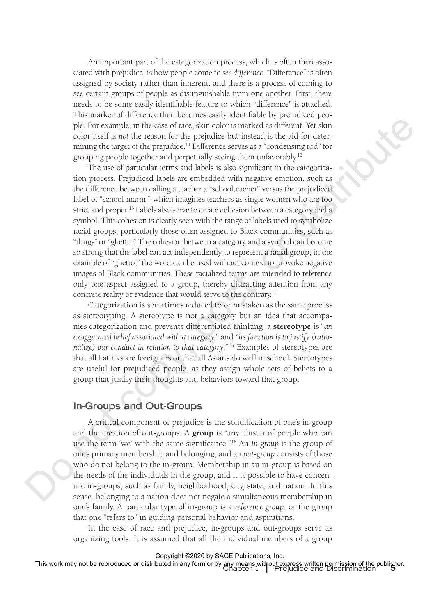An important part of the categorization process, which is often then associated with prejudice, is how people come to *see difference.* "Difference" is often assigned by society rather than inherent, and there is a process of coming to see certain groups of people as distinguishable from one another. First, there needs to be some easily identifiable feature to which "difference" is attached. This marker of difference then becomes easily identifiable by prejudiced people. For example, in the case of race, skin color is marked as different. Yet skin color itself is *not* the reason for the prejudice but instead is the aid for determining the target of the prejudice.<sup>11</sup> Difference serves as a "condensing rod" for grouping people together and perpetually seeing them unfavorably.<sup>12</sup>

The use of particular terms and labels is also significant in the categorization process. Prejudiced labels are embedded with negative emotion, such as the difference between calling a teacher a "schoolteacher" versus the prejudiced label of "school marm," which imagines teachers as single women who are too strict and proper.<sup>13</sup> Labels also serve to create cohesion between a category and a symbol. This cohesion is clearly seen with the range of labels used to symbolize racial groups, particularly those often assigned to Black communities, such as "thugs" or "ghetto." The cohesion between a category and a symbol can become so strong that the label can act independently to represent a racial group; in the example of "ghetto," the word can be used without context to provoke negative images of Black communities. These racialized terms are intended to reference only one aspect assigned to a group, thereby distracting attention from any concrete reality or evidence that would serve to the contrary.14 de. For example, in the case of size, shorted by a marked as different. Yet show that the control of the present of the perturbe term in the control of the perturbed is the state of the perturbed in the perturbed by the p

Categorization is sometimes reduced to or mistaken as the same process as stereotyping. A stereotype is not a category but an idea that accompanies categorization and prevents differentiated thinking; a **stereotype** is "*an exaggerated belief associated with a category,*" and "*its function is to justify (rationalize) our conduct in relation to that category*."15 Examples of stereotypes are that all Latinxs are foreigners or that all Asians do well in school. Stereotypes are useful for prejudiced people, as they assign whole sets of beliefs to a group that justify their thoughts and behaviors toward that group.

#### **In-Groups and Out-Groups**

A critical component of prejudice is the solidification of one's in-group and the creation of out-groups. A **group** is "any cluster of people who can use the term 'we' with the same significance."16 An *in-group* is the group of one's primary membership and belonging, and an *out-group* consists of those who do not belong to the in-group. Membership in an in-group is based on the needs of the individuals in the group, and it is possible to have concentric in-groups, such as family, neighborhood, city, state, and nation. In this sense, belonging to a nation does not negate a simultaneous membership in one's family. A particular type of in-group is a *reference group*, or the group that one "refers to" in guiding personal behavior and aspirations.

In the case of race and prejudice, in-groups and out-groups serve as organizing tools. It is assumed that all the individual members of a group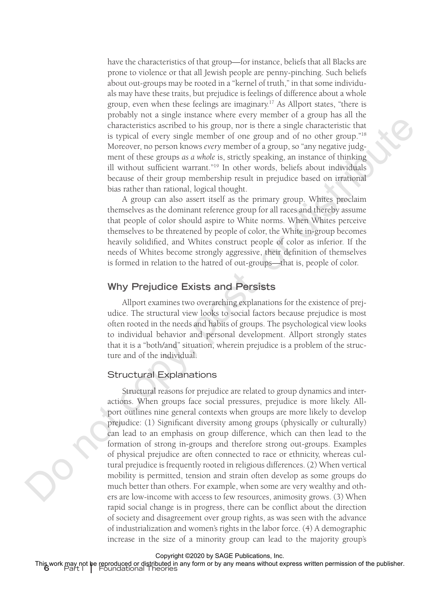have the characteristics of that group—for instance, beliefs that all Blacks are prone to violence or that all Jewish people are penny-pinching. Such beliefs about out-groups may be rooted in a "kernel of truth," in that some individuals may have these traits, but prejudice is feelings of difference about a whole group, even when these feelings are imaginary.17 As Allport states, "there is probably not a single instance where every member of a group has all the characteristics ascribed to his group, nor is there a single characteristic that is typical of every single member of one group and of no other group."18 Moreover, no person knows *every* member of a group, so "any negative judgment of these groups *as a whole* is, strictly speaking, an instance of thinking ill without sufficient warrant."19 In other words, beliefs about individuals because of their group membership result in prejudice based on irrational bias rather than rational, logical thought.

A group can also assert itself as the primary group. Whites proclaim themselves as the dominant reference group for all races and thereby assume that people of color should aspire to White norms. When Whites perceive themselves to be threatened by people of color, the White in-group becomes heavily solidified, and Whites construct people of color as inferior. If the needs of Whites become strongly aggressive, their definition of themselves is formed in relation to the hatred of out-groups—that is, people of color.

### **Why Prejudice Exists and Persists**

Allport examines two overarching explanations for the existence of prejudice. The structural view looks to social factors because prejudice is most often rooted in the needs and habits of groups. The psychological view looks to individual behavior and personal development. Allport strongly states that it is a "both/and" situation, wherein prejudice is a problem of the structure and of the individual.

#### Structural Explanations

Structural reasons for prejudice are related to group dynamics and interactions. When groups face social pressures, prejudice is more likely. Allport outlines nine general contexts when groups are more likely to develop prejudice: (1) Significant diversity among groups (physically or culturally) can lead to an emphasis on group difference, which can then lead to the formation of strong in-groups and therefore strong out-groups. Examples of physical prejudice are often connected to race or ethnicity, whereas cultural prejudice is frequently rooted in religious differences. (2) When vertical mobility is permitted, tension and strain often develop as some groups do much better than others. For example, when some are very wealthy and others are low-income with access to few resources, animosity grows. (3) When rapid social change is in progress, there can be conflict about the direction of society and disagreement over group rights, as was seen with the advance of industrialization and women's rights in the labor force. (4) A demographic increase in the size of a minority group can lead to the majority group's From the measure was a since the proposition of the simulated proposition of the simulated band and the straight in the straight converges of the straight in the straight in the straight in the straight in the straight in

Copyright ©2020 by SAGE Publications, Inc.

This work may not be reproduced or distributed in any form or by any means without express written permission of the publisher.<br><sup>6</sup> Part I | Foundational Theories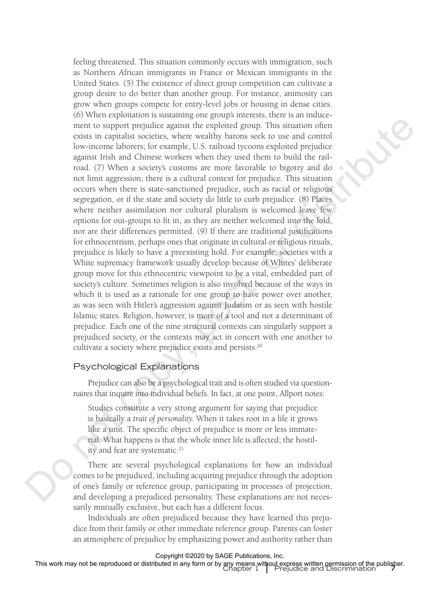feeling threatened. This situation commonly occurs with immigration, such as Northern African immigrants in France or Mexican immigrants in the United States. (5) The existence of direct group competition can cultivate a group desire to do better than another group. For instance, animosity can grow when groups compete for entry-level jobs or housing in dense cities. (6) When exploitation is sustaining one group's interests, there is an inducement to support prejudice against the exploited group. This situation often exists in capitalist societies, where wealthy barons seek to use and control low-income laborers; for example, U.S. railroad tycoons exploited prejudice against Irish and Chinese workers when they used them to build the railroad. (7) When a society's customs are more favorable to bigotry and do not limit aggression, there is a cultural context for prejudice. This situation occurs when there is state-sanctioned prejudice, such as racial or religious segregation, or if the state and society do little to curb prejudice. (8) Places where neither assimilation nor cultural pluralism is welcomed leave few options for out-groups to fit in, as they are neither welcomed into the fold, nor are their differences permitted. (9) If there are traditional justifications for ethnocentrism, perhaps ones that originate in cultural or religious rituals, prejudice is likely to have a preexisting hold. For example, societies with a White supremacy framework usually develop because of Whites' deliberate group move for this ethnocentric viewpoint to be a vital, embedded part of society's culture. Sometimes religion is also involved because of the ways in which it is used as a rationale for one group to have power over another, as was seen with Hitler's aggression against Judaism or as seen with hostile Islamic states. Religion, however, is more of a tool and not a determinant of prejudice. Each one of the nine structural contexts can singularly support a prejudiced society, or the contexts may act in concert with one another to cultivate a society where prejudice exists and persists.<sup>20</sup> or the sympathing operator and the exploration of the sympathing operator and the sympathing sympathy control by where we have the sympathy control by where the sympathy control by where the sympathy control by where the

#### Psychological Explanations

Prejudice can also be a psychological trait and is often studied via questionnaires that inquire into individual beliefs. In fact, at one point, Allport notes:

Studies constitute a very strong argument for saying that prejudice is basically a *trait of personality.* When it takes root in a life it grows like a unit. The specific object of prejudice is more or less immaterial. What happens is that the whole inner life is affected; the hostility and fear are systematic.<sup>21</sup>

There are several psychological explanations for how an individual comes to be prejudiced, including acquiring prejudice through the adoption of one's family or reference group, participating in processes of projection, and developing a prejudiced personality. These explanations are not necessarily mutually exclusive, but each has a different focus.

Individuals are often prejudiced because they have learned this prejudice from their family or other immediate reference group. Parents can foster an atmosphere of prejudice by emphasizing power and authority rather than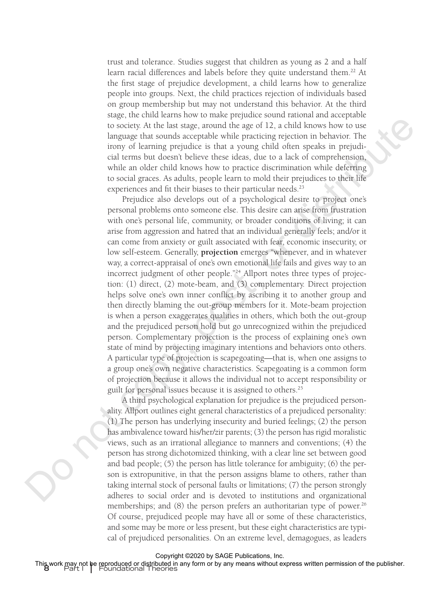trust and tolerance. Studies suggest that children as young as 2 and a half learn racial differences and labels before they quite understand them.<sup>22</sup> At the first stage of prejudice development, a child learns how to generalize people into groups. Next, the child practices rejection of individuals based on group membership but may not understand this behavior. At the third stage, the child learns how to make prejudice sound rational and acceptable to society. At the last stage, around the age of 12, a child knows how to use language that sounds acceptable while practicing rejection in behavior. The irony of learning prejudice is that a young child often speaks in prejudicial terms but doesn't believe these ideas, due to a lack of comprehension, while an older child knows how to practice discrimination while deferring to social graces. As adults, people learn to mold their prejudices to their life experiences and fit their biases to their particular needs.<sup>23</sup>

Prejudice also develops out of a psychological desire to project one's personal problems onto someone else. This desire can arise from frustration with one's personal life, community, or broader conditions of living; it can arise from aggression and hatred that an individual generally feels; and/or it can come from anxiety or guilt associated with fear, economic insecurity, or low self-esteem. Generally, **projection** emerges "whenever, and in whatever way, a correct-appraisal of one's own emotional life fails and gives way to an incorrect judgment of other people."24 Allport notes three types of projection: (1) direct, (2) mote-beam, and (3) complementary. Direct projection helps solve one's own inner conflict by ascribing it to another group and then directly blaming the out-group members for it. Mote-beam projection is when a person exaggerates qualities in others, which both the out-group and the prejudiced person hold but go unrecognized within the prejudiced person. Complementary projection is the process of explaining one's own state of mind by projecting imaginary intentions and behaviors onto others. A particular type of projection is scapegoating—that is, when one assigns to a group one's own negative characteristics. Scapegoating is a common form of projection because it allows the individual not to accept responsibility or guilt for personal issues because it is assigned to others.25 assessme, and in the state of the state of the state of the state of the state of the state of the state of the state of the state of the state of the state of the state of the state of the state of the state of the state

A third psychological explanation for prejudice is the prejudiced personality. Allport outlines eight general characteristics of a prejudiced personality: (1) The person has underlying insecurity and buried feelings; (2) the person has ambivalence toward his/her/zir parents; (3) the person has rigid moralistic views, such as an irrational allegiance to manners and conventions; (4) the person has strong dichotomized thinking, with a clear line set between good and bad people; (5) the person has little tolerance for ambiguity; (6) the person is extropunitive, in that the person assigns blame to others, rather than taking internal stock of personal faults or limitations; (7) the person strongly adheres to social order and is devoted to institutions and organizational memberships; and  $(8)$  the person prefers an authoritarian type of power.<sup>26</sup> Of course, prejudiced people may have all or some of these characteristics, and some may be more or less present, but these eight characteristics are typical of prejudiced personalities. On an extreme level, demagogues, as leaders

Copyright ©2020 by SAGE Publications, Inc.

This work may not be reproduced or distributed in any form or by any means without express written permission of the publisher.<br><sup>8</sup> Part I | Foundational Theories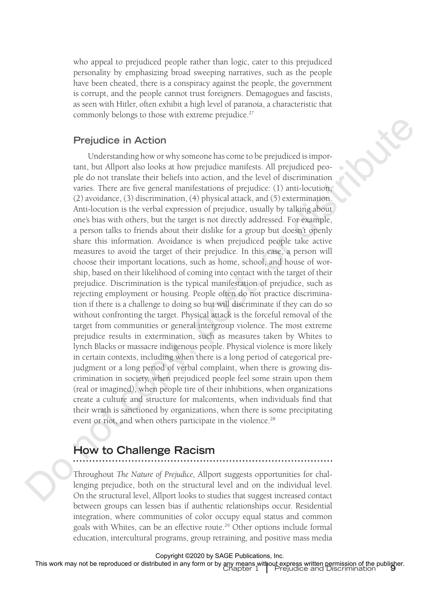who appeal to prejudiced people rather than logic, cater to this prejudiced personality by emphasizing broad sweeping narratives, such as the people have been cheated, there is a conspiracy against the people, the government is corrupt, and the people cannot trust foreigners. Demagogues and fascists, as seen with Hitler, often exhibit a high level of paranoia, a characteristic that commonly belongs to those with extreme prejudice.<sup>27</sup>

#### **Prejudice in Action**

Understanding how or why someone has come to be prejudiced is important, but Allport also looks at how prejudice manifests. All prejudiced people do not translate their beliefs into action, and the level of discrimination varies. There are five general manifestations of prejudice: (1) anti-locution, (2) avoidance, (3) discrimination, (4) physical attack, and (5) extermination. Anti-locution is the verbal expression of prejudice, usually by talking about one's bias with others, but the target is not directly addressed. For example, a person talks to friends about their dislike for a group but doesn't openly share this information. Avoidance is when prejudiced people take active measures to avoid the target of their prejudice. In this case, a person will choose their important locations, such as home, school, and house of worship, based on their likelihood of coming into contact with the target of their prejudice. Discrimination is the typical manifestation of prejudice, such as rejecting employment or housing. People often do not practice discrimination if there is a challenge to doing so but will discriminate if they can do so without confronting the target. Physical attack is the forceful removal of the target from communities or general intergroup violence. The most extreme prejudice results in extermination, such as measures taken by Whites to lynch Blacks or massacre indigenous people. Physical violence is more likely in certain contexts, including when there is a long period of categorical prejudgment or a long period of verbal complaint, when there is growing discrimination in society, when prejudiced people feel some strain upon them (real or imagined), when people tire of their inhibitions, when organizations create a culture and structure for malcontents, when individuals find that their wrath is sanctioned by organizations, when there is some precipitating event or riot, and when others participate in the violence.<sup>28</sup> **Dress that entropy is the maximal propagation**<br> **Dress that determines the projective distributes**<br>
Dress the maximum of the content of the content of the content of the content of the content of the content of the conte

# **How to Challenge Racism**

Throughout *The Nature of Prejudice,* Allport suggests opportunities for challenging prejudice, both on the structural level and on the individual level. On the structural level, Allport looks to studies that suggest increased contact between groups can lessen bias if authentic relationships occur. Residential integration, where communities of color occupy equal status and common goals with Whites, can be an effective route.<sup>29</sup> Other options include formal education, intercultural programs, group retraining, and positive mass media

Copyright ©2020 by SAGE Publications, Inc.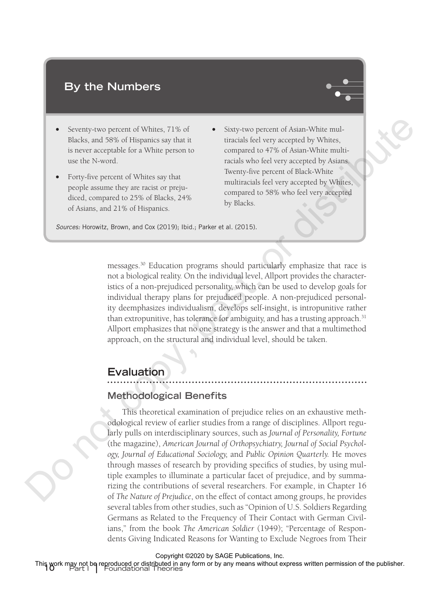# **By the Numbers**



- Seventy-two percent of Whites, 71% of Blacks, and 58% of Hispanics say that it is never acceptable for a White person to use the N-word.
- Forty-five percent of Whites say that people assume they are racist or prejudiced, compared to 25% of Blacks, 24% of Asians, and 21% of Hispanics.
- Sixty-two percent of Asian-White multiracials feel very accepted by Whites, compared to 47% of Asian-White multiracials who feel very accepted by Asians. Twenty-five percent of Black-White multiracials feel very accepted by Whites, compared to 58% who feel very accepted by Blacks.

*Sources:* Horowitz, Brown, and Cox (2019); Ibid.; Parker et al. (2015).

messages.30 Education programs should particularly emphasize that race is not a biological reality. On the individual level, Allport provides the characteristics of a non-prejudiced personality, which can be used to develop goals for individual therapy plans for prejudiced people. A non-prejudiced personality deemphasizes individualism, develops self-insight, is intropunitive rather than extropunitive, has tolerance for ambiguity, and has a trusting approach. $31$ Allport emphasizes that no one strategy is the answer and that a multimethod approach, on the structural and individual level, should be taken.

# **Evaluation**

#### **Methodological Benefits**

This theoretical examination of prejudice relies on an exhaustive methodological review of earlier studies from a range of disciplines. Allport regularly pulls on interdisciplinary sources, such as *Journal of Personality, Fortune* (the magazine), *American Journal of Orthopsychiatry, Journal of Social Psychology, Journal of Educational Sociology,* and *Public Opinion Quarterly.* He moves through masses of research by providing specifics of studies, by using multiple examples to illuminate a particular facet of prejudice, and by summarizing the contributions of several researchers. For example, in Chapter 16 of *The Nature of Prejudice*, on the effect of contact among groups, he provides several tables from other studies, such as "Opinion of U.S. Soldiers Regarding Germans as Related to the Frequency of Their Contact with German Civilians," from the book *The American Soldier* (1949); "Percentage of Respondents Giving Indicated Reasons for Wanting to Exclude Negroes from Their Seventy-two percent of Whites, 3718 of  $\bullet$  Sixty-two percent of Asian-White roubles, and particular is not<br>able be a style person in the magnetal of Fig. of Asian White equality<br>is note that the Moody is the sole of the

Copyright ©2020 by SAGE Publications, Inc.

This work may not be reproduced or distributed in any form or by any means without express written permission of the publisher.<br>10 **Part I** Poundational Theories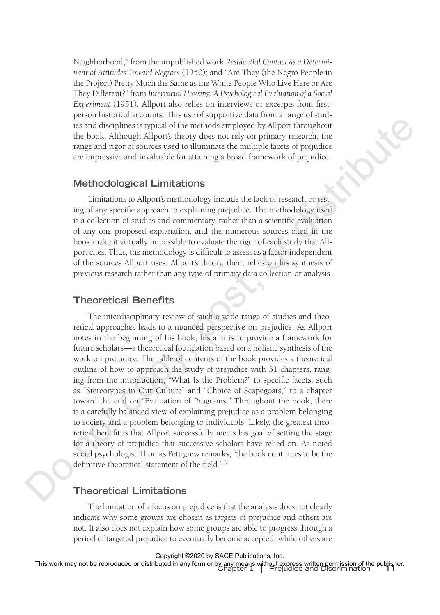Neighborhood," from the unpublished work *Residential Contact as a Determinant of Attitudes Toward Negroes* (1950); and "Are They (the Negro People in the Project) Pretty Much the Same as the White People Who Live Here or Are They Different?" from *Interracial Housing: A Psychological Evaluation of a Social Experiment* (1951). Allport also relies on interviews or excerpts from firstperson historical accounts. This use of supportive data from a range of studies and disciplines is typical of the methods employed by Allport throughout the book. Although Allport's theory does not rely on primary research, the range and rigor of sources used to illuminate the multiple facets of prejudice are impressive and invaluable for attaining a broad framework of prejudice.

#### **Methodological Limitations**

Limitations to Allport's methodology include the lack of research or testing of any specific approach to explaining prejudice. The methodology used is a collection of studies and commentary, rather than a scientific evaluation of any one proposed explanation, and the numerous sources cited in the book make it virtually impossible to evaluate the rigor of each study that Allport cites. Thus, the methodology is difficult to assess as a factor independent of the sources Allport uses. Allport's theory, then, relies on his synthesis of previous research rather than any type of primary data collection or analysis.

#### **Theoretical Benefits**

The interdisciplinary review of such a wide range of studies and theoretical approaches leads to a nuanced perspective on prejudice. As Allport notes in the beginning of his book, his aim is to provide a framework for future scholars—a theoretical foundation based on a holistic synthesis of the work on prejudice. The table of contents of the book provides a theoretical outline of how to approach the study of prejudice with 31 chapters, ranging from the introduction, "What Is the Problem?" to specific facets, such as "Stereotypes in Our Culture" and "Choice of Scapegoats," to a chapter toward the end on "Evaluation of Programs." Throughout the book, there is a carefully balanced view of explaining prejudice as a problem belonging to society and a problem belonging to individuals. Likely, the greatest theoretical benefit is that Allport successfully meets his goal of setting the stage for a theory of prejudice that successive scholars have relied on. As noted social psychologist Thomas Pettigrew remarks, "the book continues to be the definitive theoretical statement of the field."32 From the baselines is repeated to the methods employed by Allipear throughout the baselines is repeated to the methods employed by Allipear throughout the baseline of original allipsed allipsed for primary researchs, the

#### **Theoretical Limitations**

The limitation of a focus on prejudice is that the analysis does not clearly indicate why some groups are chosen as targets of prejudice and others are not. It also does not explain how some groups are able to progress through a period of targeted prejudice to eventually become accepted, while others are

Copyright ©2020 by SAGE Publications, Inc.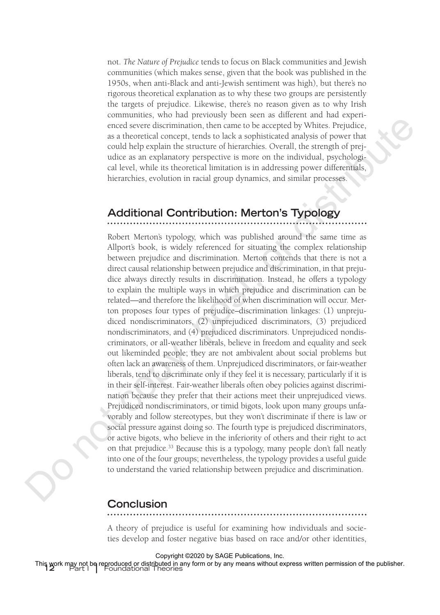not. *The Nature of Prejudice* tends to focus on Black communities and Jewish communities (which makes sense, given that the book was published in the 1950s, when anti-Black and anti-Jewish sentiment was high), but there's no rigorous theoretical explanation as to why these two groups are persistently the targets of prejudice. Likewise, there's no reason given as to why Irish communities, who had previously been seen as different and had experienced severe discrimination, then came to be accepted by Whites. Prejudice, as a theoretical concept, tends to lack a sophisticated analysis of power that could help explain the structure of hierarchies. Overall, the strength of prejudice as an explanatory perspective is more on the individual, psychological level, while its theoretical limitation is in addressing power differentials, hierarchies, evolution in racial group dynamics, and similar processes.

# **Additional Contribution: Merton's Typology**

Robert Merton's typology, which was published around the same time as Allport's book, is widely referenced for situating the complex relationship between prejudice and discrimination. Merton contends that there is not a direct causal relationship between prejudice and discrimination, in that prejudice always directly results in discrimination. Instead, he offers a typology to explain the multiple ways in which prejudice and discrimination can be related—and therefore the likelihood of when discrimination will occur. Merton proposes four types of prejudice–discrimination linkages: (1) unprejudiced nondiscriminators, (2) unprejudiced discriminators, (3) prejudiced nondiscriminators, and (4) prejudiced discriminators. Unprejudiced nondiscriminators, or all-weather liberals, believe in freedom and equality and seek out likeminded people; they are not ambivalent about social problems but often lack an awareness of them. Unprejudiced discriminators, or fair-weather liberals, tend to discriminate only if they feel it is necessary, particularly if it is in their self-interest. Fair-weather liberals often obey policies against discrimination because they prefer that their actions meet their unprejudiced views. Prejudiced nondiscriminators, or timid bigots, look upon many groups unfavorably and follow stereotypes, but they won't discriminate if there is law or social pressure against doing so. The fourth type is prejudiced discriminators, or active bigots, who believe in the inferiority of others and their right to act on that prejudice.<sup>33</sup> Because this is a typology, many people don't fall neatly into one of the four groups; nevertheless, the typology provides a useful guide to understand the varied relationship between prejudice and discrimination. constrained a more into the control of the secondary of the secondary and the statistical control deverable results in the statistical control of the statistical model is the statistical model of the statistical model of

#### **Conclusion**

A theory of prejudice is useful for examining how individuals and societies develop and foster negative bias based on race and/or other identities,

Copyright ©2020 by SAGE Publications, Inc.

**12** Part I **|** Foundational Theories This work may not be reproduced or distributed in any form or by any means without express written permission of the publisher.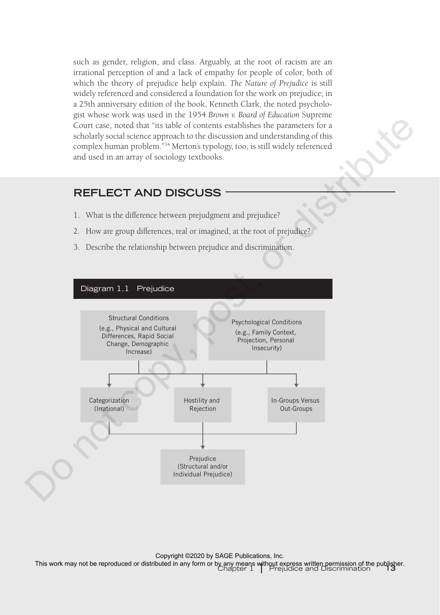such as gender, religion, and class. Arguably, at the root of racism are an irrational perception of and a lack of empathy for people of color, both of which the theory of prejudice help explain. *The Nature of Prejudice* is still widely referenced and considered a foundation for the work on prejudice; in a 25th anniversary edition of the book, Kenneth Clark, the noted psychologist whose work was used in the 1954 *Brown v. Board of Education* Supreme Court case, noted that "its table of contents establishes the parameters for a scholarly social science approach to the discussion and understanding of this complex human problem."34 Merton's typology, too, is still widely referenced and used in an array of sociology textbooks.

# **REFLECT AND DISCUSS**

- 1. What is the difference between prejudgment and prejudice?
- 2. How are group differences, real or imagined, at the root of prejudice?
- 3. Describe the relationship between prejudice and discrimination.

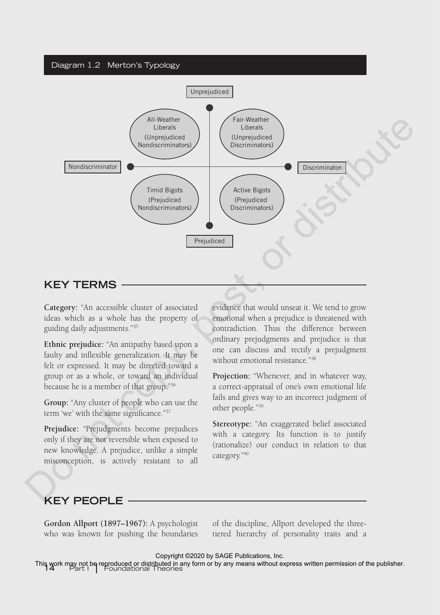#### Diagram 1.2 Merton's Typology



**Category:** "An accessible cluster of associated ideas which as a whole has the property of guiding daily adjustments."35

**Ethnic prejudice:** "An antipathy based upon a faulty and inflexible generalization. It may be felt or expressed. It may be directed toward a group or as a whole, or toward an individual because he is a member of that group."36

**Group:** "Any cluster of people who can use the term 'we' with the same significance."37

**Prejudice:** "Prejudgments become prejudices only if they are not reversible when exposed to new knowledge. A prejudice, unlike a simple misconception, is actively resistant to all

evidence that would unseat it. We tend to grow emotional when a prejudice is threatened with contradiction. Thus the difference between ordinary prejudgments and prejudice is that one can discuss and rectify a prejudgment without emotional resistance."<sup>38</sup>

**Projection:** "Whenever, and in whatever way, a correct-appraisal of one's own emotional life fails and gives way to an incorrect judgment of other people."39

**Stereotype:** "An exaggerated belief associated with a category. Its function is to justify (rationalize) our conduct in relation to that category."40

# **KEY PEOPLE**

**Gordon Allport (1897–1967):** A psychologist who was known for pushing the boundaries

of the discipline, Allport developed the threetiered hierarchy of personality traits and a

Copyright ©2020 by SAGE Publications, Inc.

This work may not be reproduced or distributed in any form or by any means without express written permission of the publisher.<br>14 Part I | Foundational Theories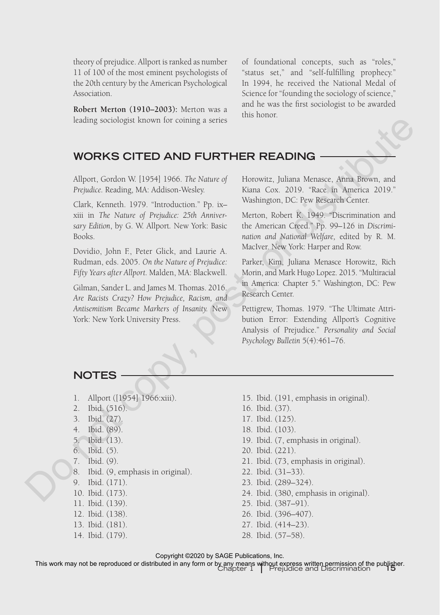theory of prejudice. Allport is ranked as number 11 of 100 of the most eminent psychologists of the 20th century by the American Psychological Association.

**Robert Merton (1910–2003):** Merton was a leading sociologist known for coining a series of foundational concepts, such as "roles," "status set," and "self-fulfilling prophecy." In 1994, he received the National Medal of Science for "founding the sociology of science," and he was the first sociologist to be awarded this honor.

# **WORKS CITED AND FURTHER READING**

Allport, Gordon W. [1954] 1966. *The Nature of Prejudice.* Reading, MA: Addison-Wesley.

Clark, Kenneth. 1979. "Introduction." Pp. ix– xiii in *The Nature of Prejudice: 25th Anniversary Edition*, by G. W. Allport*.* New York: Basic Books.

Dovidio, John F., Peter Glick, and Laurie A. Rudman, eds. 2005. *On the Nature of Prejudice: Fifty Years after Allport.* Malden, MA: Blackwell.

Gilman, Sander L. and James M. Thomas. 2016. *Are Racists Crazy? How Prejudice, Racism, and Antisemitism Became Markers of Insanity.* New York: New York University Press. leading sociologist known for coining a series<br>
MORKS CITED AND FURTHER READING<br>
Albort, Cordan W [1954] 1966. The Nature of Horowitz, Juliana Mensace, Anna Forwe, and<br>
Projudice. Stading, MA: Addison-Wosley.<br>
Limit, Core

Horowitz, Juliana Menasce, Anna Brown, and Kiana Cox. 2019. "Race in America 2019." Washington, DC: Pew Research Center.

Merton, Robert K. 1949. "Discrimination and the American Creed." Pp. 99–126 in *Discrimination and National Welfare,* edited by R. M. MacIver. New York: Harper and Row.

Parker, Kim, Juliana Menasce Horowitz, Rich Morin, and Mark Hugo Lopez. 2015. "Multiracial in America: Chapter 5." Washington, DC: Pew Research Center.

Pettigrew, Thomas. 1979. "The Ultimate Attribution Error: Extending Allport's Cognitive Analysis of Prejudice." *Personality and Social Psychology Bulletin* 5(4):461–76.

## **NOTES**

- 1. Allport ([1954] 1966:xiii).
- 2. Ibid. (516).
- 3. Ibid. (27).
- 4. Ibid. (89).
- 5. Ibid. (13).
- 6. Ibid. (5).
- 7. Ibid. (9).
- 8. Ibid. (9, emphasis in original).
- 9. Ibid. (171).
- 10. Ibid. (173).
- 11. Ibid. (139).
- 12. Ibid. (138).
- 13. Ibid. (181).
- 14. Ibid. (179).
- 15. Ibid. (191, emphasis in original).
- 16. Ibid. (37).
- 17. Ibid. (125).
- 18. Ibid. (103).
- 19. Ibid. (7, emphasis in original).
- 20. Ibid. (221).
- 21. Ibid. (73, emphasis in original).
- 22. Ibid. (31–33).
- 23. Ibid. (289–324).
- 24. Ibid. (380, emphasis in original).
- 25. Ibid. (387–91).
- 26. Ibid. (396–407).
- 27. Ibid. (414–23).
- 28. Ibid. (57–58).

#### Copyright ©2020 by SAGE Publications, Inc.